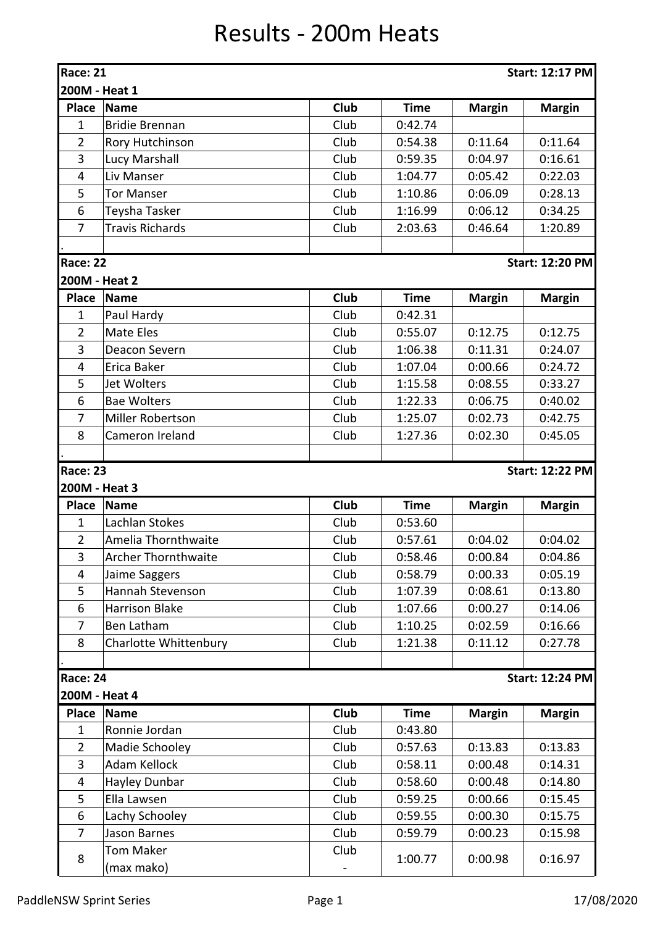## Results - 200m Heats

| <b>Race: 21</b><br><b>Start: 12:17 PM</b> |                            |             |             |               |                        |  |  |  |
|-------------------------------------------|----------------------------|-------------|-------------|---------------|------------------------|--|--|--|
| 200M - Heat 1                             |                            |             |             |               |                        |  |  |  |
| <b>Place</b>                              | <b>Name</b>                | Club        | <b>Time</b> | <b>Margin</b> | <b>Margin</b>          |  |  |  |
| $\mathbf{1}$                              | <b>Bridie Brennan</b>      | Club        | 0:42.74     |               |                        |  |  |  |
| $\overline{2}$                            | Rory Hutchinson            | Club        | 0:54.38     | 0:11.64       | 0:11.64                |  |  |  |
| 3                                         | Lucy Marshall              | Club        | 0:59.35     | 0:04.97       | 0:16.61                |  |  |  |
| 4                                         | Liv Manser                 | Club        | 1:04.77     | 0:05.42       | 0:22.03                |  |  |  |
| 5                                         | <b>Tor Manser</b>          | Club        | 1:10.86     | 0:06.09       | 0:28.13                |  |  |  |
| 6                                         | Teysha Tasker              | Club        | 1:16.99     | 0:06.12       | 0:34.25                |  |  |  |
| $\overline{7}$                            | <b>Travis Richards</b>     | Club        | 2:03.63     | 0:46.64       | 1:20.89                |  |  |  |
|                                           |                            |             |             |               |                        |  |  |  |
| <b>Race: 22</b>                           |                            |             |             |               | <b>Start: 12:20 PM</b> |  |  |  |
| 200M - Heat 2                             |                            |             |             |               |                        |  |  |  |
| <b>Place</b>                              | <b>Name</b>                | Club        | <b>Time</b> | <b>Margin</b> | <b>Margin</b>          |  |  |  |
| $\mathbf{1}$                              | Paul Hardy                 | Club        | 0:42.31     |               |                        |  |  |  |
| $\overline{2}$                            | Mate Eles                  | Club        | 0:55.07     | 0:12.75       | 0:12.75                |  |  |  |
| 3                                         | Deacon Severn              | Club        | 1:06.38     | 0:11.31       | 0:24.07                |  |  |  |
| 4                                         | Erica Baker                | Club        | 1:07.04     | 0:00.66       | 0:24.72                |  |  |  |
| 5                                         | Jet Wolters                | Club        | 1:15.58     | 0:08.55       | 0:33.27                |  |  |  |
| 6                                         | <b>Bae Wolters</b>         | Club        | 1:22.33     | 0:06.75       | 0:40.02                |  |  |  |
| 7                                         | Miller Robertson           | Club        | 1:25.07     | 0:02.73       | 0:42.75                |  |  |  |
| 8                                         | Cameron Ireland            | Club        | 1:27.36     | 0:02.30       | 0:45.05                |  |  |  |
|                                           |                            |             |             |               |                        |  |  |  |
| <b>Race: 23</b>                           |                            |             |             |               | <b>Start: 12:22 PM</b> |  |  |  |
| 200M - Heat 3                             |                            |             |             |               |                        |  |  |  |
| <b>Place</b>                              | <b>Name</b>                | Club        | <b>Time</b> | <b>Margin</b> | <b>Margin</b>          |  |  |  |
| 1                                         | Lachlan Stokes             | Club        | 0:53.60     |               |                        |  |  |  |
| $\overline{2}$                            | Amelia Thornthwaite        | Club        | 0:57.61     | 0:04.02       | 0:04.02                |  |  |  |
| 3                                         | <b>Archer Thornthwaite</b> | Club        | 0:58.46     | 0:00.84       | 0:04.86                |  |  |  |
| $\overline{\mathbf{4}}$                   | Jaime Saggers              | Club        | 0:58.79     | 0:00.33       | 0:05.19                |  |  |  |
| 5                                         | Hannah Stevenson           | Club        | 1:07.39     | 0:08.61       | 0:13.80                |  |  |  |
| 6                                         | <b>Harrison Blake</b>      | Club        | 1:07.66     | 0:00.27       | 0:14.06                |  |  |  |
| $\overline{7}$                            | <b>Ben Latham</b>          | Club        | 1:10.25     | 0:02.59       | 0:16.66                |  |  |  |
| 8                                         | Charlotte Whittenbury      | Club        | 1:21.38     | 0:11.12       | 0:27.78                |  |  |  |
|                                           |                            |             |             |               |                        |  |  |  |
| <b>Race: 24</b>                           |                            |             |             |               | <b>Start: 12:24 PM</b> |  |  |  |
| 200M - Heat 4                             |                            |             |             |               |                        |  |  |  |
| <b>Place</b>                              | <b>Name</b>                | <b>Club</b> | <b>Time</b> | <b>Margin</b> | <b>Margin</b>          |  |  |  |
| $\mathbf{1}$                              | Ronnie Jordan              | Club        | 0:43.80     |               |                        |  |  |  |
| $\overline{2}$                            | Madie Schooley             | Club        | 0:57.63     | 0:13.83       | 0:13.83                |  |  |  |
| 3                                         | Adam Kellock               | Club        | 0:58.11     | 0:00.48       | 0:14.31                |  |  |  |
| $\overline{4}$                            | Hayley Dunbar              | Club        | 0:58.60     | 0:00.48       | 0:14.80                |  |  |  |
| 5                                         | Ella Lawsen                | Club        | 0:59.25     | 0:00.66       | 0:15.45                |  |  |  |
| 6                                         | Lachy Schooley             | Club        | 0:59.55     | 0:00.30       | 0:15.75                |  |  |  |
| 7                                         | Jason Barnes               | Club        | 0:59.79     | 0:00.23       | 0:15.98                |  |  |  |
|                                           | <b>Tom Maker</b>           | Club        |             |               |                        |  |  |  |
| 8                                         | (max mako)                 |             | 1:00.77     | 0:00.98       | 0:16.97                |  |  |  |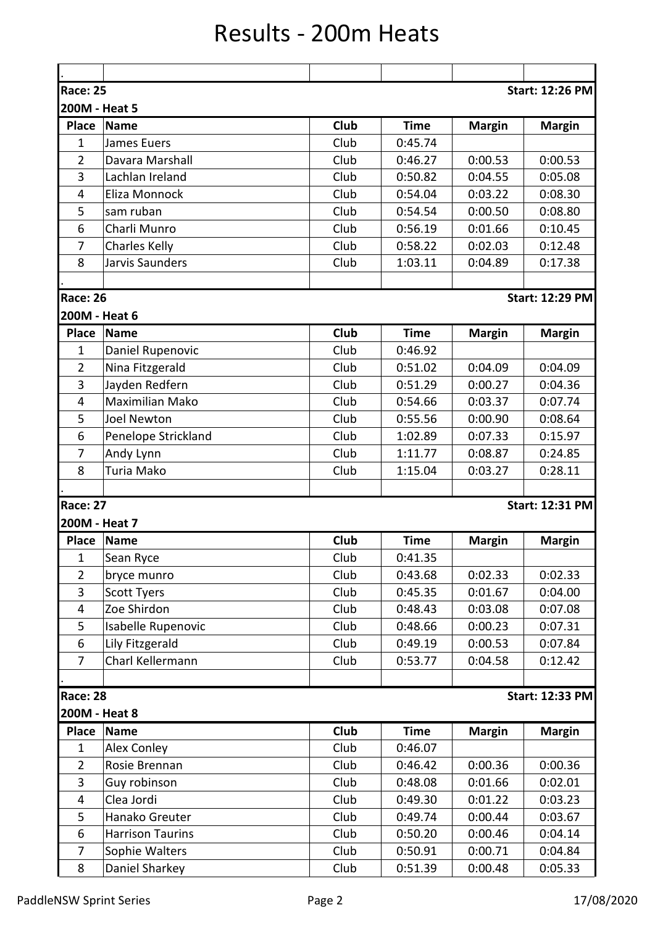## Results - 200m Heats

| <b>Race: 25</b> |                         |             |             |               | <b>Start: 12:26 PM</b> |  |  |  |
|-----------------|-------------------------|-------------|-------------|---------------|------------------------|--|--|--|
| 200M - Heat 5   |                         |             |             |               |                        |  |  |  |
| <b>Place</b>    | <b>Name</b>             | <b>Club</b> | <b>Time</b> | <b>Margin</b> | <b>Margin</b>          |  |  |  |
| $\mathbf{1}$    | <b>James Euers</b>      | Club        | 0:45.74     |               |                        |  |  |  |
| $\overline{2}$  | Davara Marshall         | Club        | 0:46.27     | 0:00.53       | 0:00.53                |  |  |  |
| 3               | Lachlan Ireland         | Club        | 0:50.82     | 0:04.55       | 0:05.08                |  |  |  |
| 4               | Eliza Monnock           | Club        | 0:54.04     | 0:03.22       | 0:08.30                |  |  |  |
| 5               | sam ruban               | Club        | 0:54.54     | 0:00.50       | 0:08.80                |  |  |  |
| 6               | Charli Munro            | Club        | 0:56.19     | 0:01.66       | 0:10.45                |  |  |  |
| 7               | <b>Charles Kelly</b>    | Club        | 0:58.22     | 0:02.03       | 0:12.48                |  |  |  |
| 8               | Jarvis Saunders         | Club        | 1:03.11     | 0:04.89       | 0:17.38                |  |  |  |
|                 |                         |             |             |               |                        |  |  |  |
| <b>Race: 26</b> |                         |             |             |               | <b>Start: 12:29 PM</b> |  |  |  |
| 200M - Heat 6   |                         |             |             |               |                        |  |  |  |
| <b>Place</b>    | <b>Name</b>             | Club        | <b>Time</b> | <b>Margin</b> | <b>Margin</b>          |  |  |  |
| $\mathbf{1}$    | Daniel Rupenovic        | Club        | 0:46.92     |               |                        |  |  |  |
| $\overline{2}$  | Nina Fitzgerald         | Club        | 0:51.02     | 0:04.09       | 0:04.09                |  |  |  |
| 3               | Jayden Redfern          | Club        | 0:51.29     | 0:00.27       | 0:04.36                |  |  |  |
| 4               | Maximilian Mako         | Club        | 0:54.66     | 0:03.37       | 0:07.74                |  |  |  |
| 5               | <b>Joel Newton</b>      | Club        | 0:55.56     | 0:00.90       | 0:08.64                |  |  |  |
| 6               | Penelope Strickland     | Club        | 1:02.89     | 0:07.33       | 0:15.97                |  |  |  |
| 7               | Andy Lynn               | Club        | 1:11.77     | 0:08.87       | 0:24.85                |  |  |  |
| 8               | Turia Mako              | Club        | 1:15.04     | 0:03.27       | 0:28.11                |  |  |  |
|                 |                         |             |             |               |                        |  |  |  |
| <b>Race: 27</b> |                         |             |             |               | <b>Start: 12:31 PM</b> |  |  |  |
| 200M - Heat 7   |                         |             |             |               |                        |  |  |  |
| <b>Place</b>    | <b>Name</b>             | Club        | <b>Time</b> | <b>Margin</b> | <b>Margin</b>          |  |  |  |
| $\mathbf 1$     | Sean Ryce               | Club        | 0:41.35     |               |                        |  |  |  |
| $\overline{2}$  | bryce munro             | Club        | 0:43.68     | 0:02.33       | 0:02.33                |  |  |  |
| 3               | <b>Scott Tyers</b>      | Club        | 0:45.35     | 0:01.67       | 0:04.00                |  |  |  |
| 4               | Zoe Shirdon             | Club        | 0:48.43     | 0:03.08       | 0:07.08                |  |  |  |
| 5               | Isabelle Rupenovic      | Club        | 0:48.66     | 0:00.23       | 0:07.31                |  |  |  |
| 6               | Lily Fitzgerald         | Club        | 0:49.19     | 0:00.53       | 0:07.84                |  |  |  |
| $\overline{7}$  | Charl Kellermann        | Club        | 0:53.77     | 0:04.58       | 0:12.42                |  |  |  |
|                 |                         |             |             |               |                        |  |  |  |
| <b>Race: 28</b> |                         |             |             |               | <b>Start: 12:33 PM</b> |  |  |  |
| 200M - Heat 8   |                         |             |             |               |                        |  |  |  |
| <b>Place</b>    | <b>Name</b>             | <b>Club</b> | <b>Time</b> | <b>Margin</b> | <b>Margin</b>          |  |  |  |
| 1               | Alex Conley             | Club        | 0:46.07     |               |                        |  |  |  |
| $\overline{2}$  | Rosie Brennan           | Club        | 0:46.42     | 0:00.36       | 0:00.36                |  |  |  |
| 3               | Guy robinson            | Club        | 0:48.08     | 0:01.66       | 0:02.01                |  |  |  |
| $\overline{4}$  | Clea Jordi              | Club        | 0:49.30     | 0:01.22       | 0:03.23                |  |  |  |
| 5               | Hanako Greuter          | Club        | 0:49.74     | 0:00.44       | 0:03.67                |  |  |  |
| 6               | <b>Harrison Taurins</b> | Club        | 0:50.20     | 0:00.46       | 0:04.14                |  |  |  |
| 7               | Sophie Walters          | Club        | 0:50.91     | 0:00.71       | 0:04.84                |  |  |  |
| 8               | Daniel Sharkey          | Club        | 0:51.39     | 0:00.48       | 0:05.33                |  |  |  |